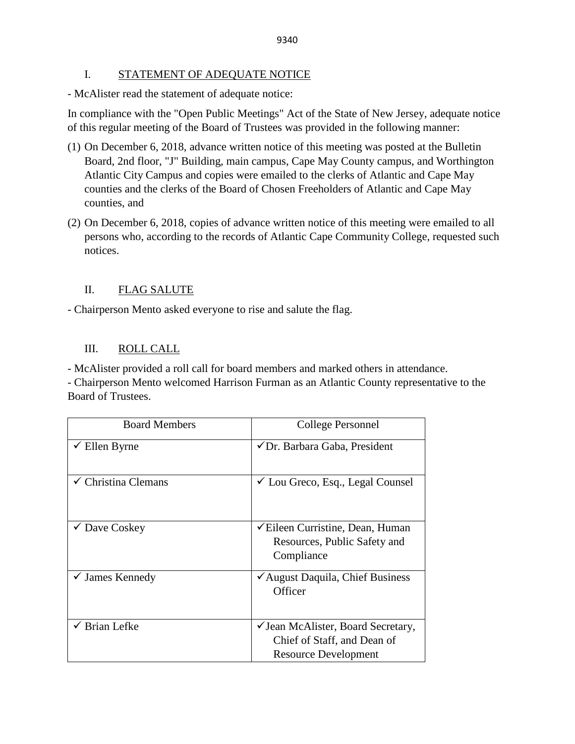### I. STATEMENT OF ADEQUATE NOTICE

- McAlister read the statement of adequate notice:

In compliance with the "Open Public Meetings" Act of the State of New Jersey, adequate notice of this regular meeting of the Board of Trustees was provided in the following manner:

- (1) On December 6, 2018, advance written notice of this meeting was posted at the Bulletin Board, 2nd floor, "J" Building, main campus, Cape May County campus, and Worthington Atlantic City Campus and copies were emailed to the clerks of Atlantic and Cape May counties and the clerks of the Board of Chosen Freeholders of Atlantic and Cape May counties, and
- (2) On December 6, 2018, copies of advance written notice of this meeting were emailed to all persons who, according to the records of Atlantic Cape Community College, requested such notices.

# II. FLAG SALUTE

- Chairperson Mento asked everyone to rise and salute the flag.

# III. ROLL CALL

- McAlister provided a roll call for board members and marked others in attendance.

- Chairperson Mento welcomed Harrison Furman as an Atlantic County representative to the Board of Trustees.

| <b>Board Members</b>           | College Personnel                                                                                     |
|--------------------------------|-------------------------------------------------------------------------------------------------------|
| Ellen Byrne                    | ✔ Dr. Barbara Gaba, President                                                                         |
| $\checkmark$ Christina Clemans | $\checkmark$ Lou Greco, Esq., Legal Counsel                                                           |
| $\checkmark$ Dave Coskey       | <del></del> <del>∠</del> Eileen Curristine, Dean, Human<br>Resources, Public Safety and<br>Compliance |
| $\checkmark$ James Kennedy     | ✔ August Daquila, Chief Business<br>Officer                                                           |
| $\checkmark$ Brian Lefke       | ✓ Jean McAlister, Board Secretary,<br>Chief of Staff, and Dean of<br>Resource Development             |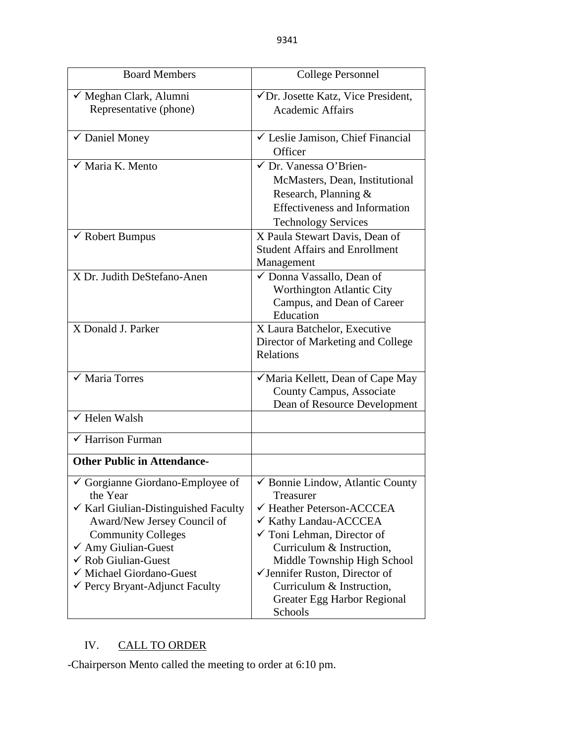| <b>Board Members</b>                            | <b>College Personnel</b>                                          |  |
|-------------------------------------------------|-------------------------------------------------------------------|--|
| ✓ Meghan Clark, Alumni                          | √Dr. Josette Katz, Vice President,                                |  |
| Representative (phone)                          | <b>Academic Affairs</b>                                           |  |
| ✔ Daniel Money                                  | $\checkmark$ Leslie Jamison, Chief Financial                      |  |
|                                                 | Officer                                                           |  |
| $\checkmark$ Maria K. Mento                     | √ Dr. Vanessa O'Brien-                                            |  |
|                                                 | McMasters, Dean, Institutional                                    |  |
|                                                 | Research, Planning &                                              |  |
|                                                 | <b>Effectiveness and Information</b>                              |  |
|                                                 | <b>Technology Services</b>                                        |  |
| $\checkmark$ Robert Bumpus                      | X Paula Stewart Davis, Dean of                                    |  |
|                                                 | <b>Student Affairs and Enrollment</b>                             |  |
|                                                 | Management                                                        |  |
| X Dr. Judith DeStefano-Anen                     | ✓ Donna Vassallo, Dean of                                         |  |
|                                                 | Worthington Atlantic City                                         |  |
|                                                 | Campus, and Dean of Career                                        |  |
|                                                 | Education                                                         |  |
| X Donald J. Parker                              | X Laura Batchelor, Executive                                      |  |
|                                                 | Director of Marketing and College                                 |  |
|                                                 | Relations                                                         |  |
| $\checkmark$ Maria Torres                       | √Maria Kellett, Dean of Cape May                                  |  |
|                                                 | County Campus, Associate                                          |  |
|                                                 | Dean of Resource Development                                      |  |
| $\checkmark$ Helen Walsh                        |                                                                   |  |
| $\checkmark$ Harrison Furman                    |                                                                   |  |
| <b>Other Public in Attendance-</b>              |                                                                   |  |
| $\checkmark$ Gorgianne Giordano-Employee of     | $\overline{\smash[b]{\mathbf{b}}}$ Bonnie Lindow, Atlantic County |  |
| the Year                                        | Treasurer                                                         |  |
| $\checkmark$ Karl Giulian-Distinguished Faculty | ← Heather Peterson-ACCCEA                                         |  |
| Award/New Jersey Council of                     | ✔ Kathy Landau-ACCCEA                                             |  |
| <b>Community Colleges</b>                       | $\checkmark$ Toni Lehman, Director of                             |  |
| $\checkmark$ Amy Giulian-Guest                  | Curriculum & Instruction,                                         |  |
| $\checkmark$ Rob Giulian-Guest                  | Middle Township High School                                       |  |
| √ Michael Giordano-Guest                        | $\checkmark$ Jennifer Ruston, Director of                         |  |
| $\checkmark$ Percy Bryant-Adjunct Faculty       | Curriculum & Instruction,                                         |  |
|                                                 | Greater Egg Harbor Regional                                       |  |
|                                                 | Schools                                                           |  |

# IV. CALL TO ORDER

-Chairperson Mento called the meeting to order at 6:10 pm.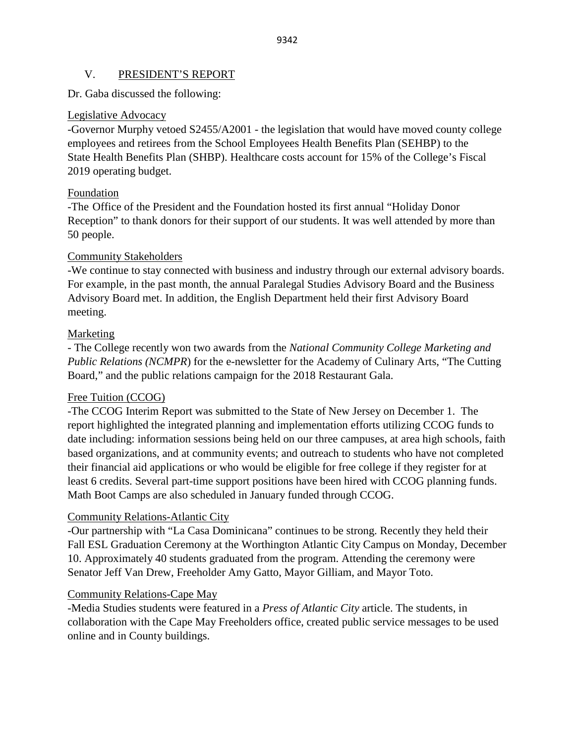### V. PRESIDENT'S REPORT

### Dr. Gaba discussed the following:

### Legislative Advocacy

-Governor Murphy vetoed S2455/A2001 - the legislation that would have moved county college employees and retirees from the School Employees Health Benefits Plan (SEHBP) to the State Health Benefits Plan (SHBP). Healthcare costs account for 15% of the College's Fiscal 2019 operating budget.

### Foundation

-The Office of the President and the Foundation hosted its first annual "Holiday Donor Reception" to thank donors for their support of our students. It was well attended by more than 50 people.

### Community Stakeholders

-We continue to stay connected with business and industry through our external advisory boards. For example, in the past month, the annual Paralegal Studies Advisory Board and the Business Advisory Board met. In addition, the English Department held their first Advisory Board meeting.

### **Marketing**

- The College recently won two awards from the *National Community College Marketing and Public Relations (NCMPR)* for the e-newsletter for the Academy of Culinary Arts, "The Cutting Board," and the public relations campaign for the 2018 Restaurant Gala.

### Free Tuition (CCOG)

-The CCOG Interim Report was submitted to the State of New Jersey on December 1. The report highlighted the integrated planning and implementation efforts utilizing CCOG funds to date including: information sessions being held on our three campuses, at area high schools, faith based organizations, and at community events; and outreach to students who have not completed their financial aid applications or who would be eligible for free college if they register for at least 6 credits. Several part-time support positions have been hired with CCOG planning funds. Math Boot Camps are also scheduled in January funded through CCOG.

### Community Relations-Atlantic City

-Our partnership with "La Casa Dominicana" continues to be strong. Recently they held their Fall ESL Graduation Ceremony at the Worthington Atlantic City Campus on Monday, December 10. Approximately 40 students graduated from the program. Attending the ceremony were Senator Jeff Van Drew, Freeholder Amy Gatto, Mayor Gilliam, and Mayor Toto.

### Community Relations-Cape May

-Media Studies students were featured in a *Press of Atlantic City* article. The students, in collaboration with the Cape May Freeholders office, created public service messages to be used online and in County buildings.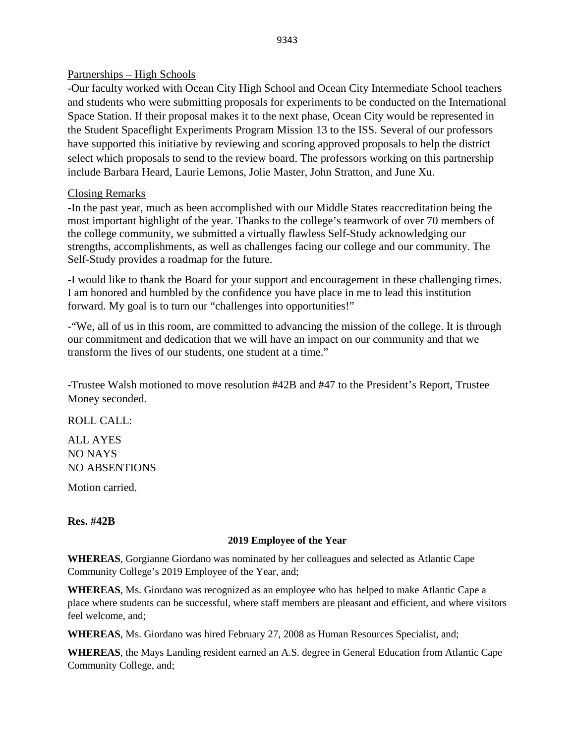### Partnerships – High Schools

-Our faculty worked with Ocean City High School and Ocean City Intermediate School teachers and students who were submitting proposals for experiments to be conducted on the International Space Station. If their proposal makes it to the next phase, Ocean City would be represented in the Student Spaceflight Experiments Program Mission 13 to the ISS. Several of our professors have supported this initiative by reviewing and scoring approved proposals to help the district select which proposals to send to the review board. The professors working on this partnership include Barbara Heard, Laurie Lemons, Jolie Master, John Stratton, and June Xu.

### Closing Remarks

-In the past year, much as been accomplished with our Middle States reaccreditation being the most important highlight of the year. Thanks to the college's teamwork of over 70 members of the college community, we submitted a virtually flawless Self-Study acknowledging our strengths, accomplishments, as well as challenges facing our college and our community. The Self-Study provides a roadmap for the future.

-I would like to thank the Board for your support and encouragement in these challenging times. I am honored and humbled by the confidence you have place in me to lead this institution forward. My goal is to turn our "challenges into opportunities!"

-"We, all of us in this room, are committed to advancing the mission of the college. It is through our commitment and dedication that we will have an impact on our community and that we transform the lives of our students, one student at a time."

-Trustee Walsh motioned to move resolution #42B and #47 to the President's Report, Trustee Money seconded.

ROLL CALL:

ALL AYES NO NAYS NO ABSENTIONS

Motion carried.

### **Res. #42B**

### **2019 Employee of the Year**

**WHEREAS**, Gorgianne Giordano was nominated by her colleagues and selected as Atlantic Cape Community College's 2019 Employee of the Year, and;

**WHEREAS**, Ms. Giordano was recognized as an employee who has helped to make Atlantic Cape a place where students can be successful, where staff members are pleasant and efficient, and where visitors feel welcome, and;

**WHEREAS**, Ms. Giordano was hired February 27, 2008 as Human Resources Specialist, and;

**WHEREAS**, the Mays Landing resident earned an A.S. degree in General Education from Atlantic Cape Community College, and;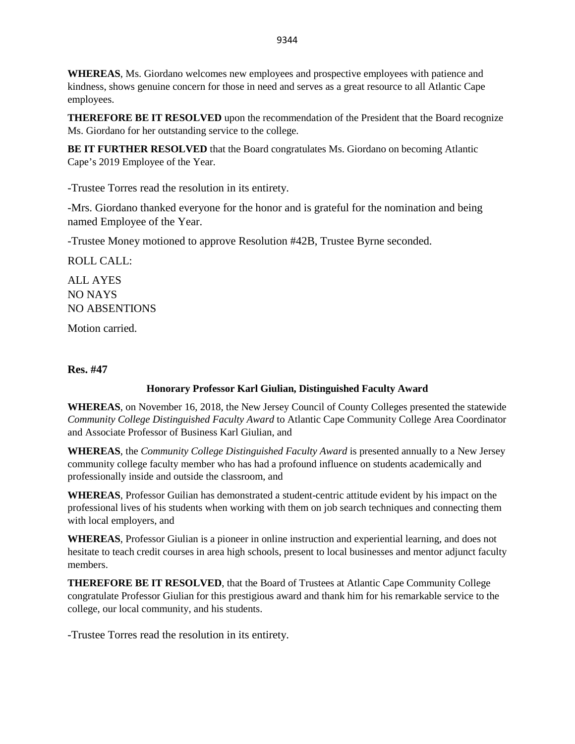**WHEREAS**, Ms. Giordano welcomes new employees and prospective employees with patience and kindness, shows genuine concern for those in need and serves as a great resource to all Atlantic Cape employees.

**THEREFORE BE IT RESOLVED** upon the recommendation of the President that the Board recognize Ms. Giordano for her outstanding service to the college.

**BE IT FURTHER RESOLVED** that the Board congratulates Ms. Giordano on becoming Atlantic Cape's 2019 Employee of the Year.

-Trustee Torres read the resolution in its entirety.

-Mrs. Giordano thanked everyone for the honor and is grateful for the nomination and being named Employee of the Year.

-Trustee Money motioned to approve Resolution #42B, Trustee Byrne seconded.

ROLL CALL:

ALL AYES NO NAYS NO ABSENTIONS

Motion carried.

### **Res. #47**

### **Honorary Professor Karl Giulian, Distinguished Faculty Award**

**WHEREAS**, on November 16, 2018, the New Jersey Council of County Colleges presented the statewide *Community College Distinguished Faculty Award* to Atlantic Cape Community College Area Coordinator and Associate Professor of Business Karl Giulian, and

**WHEREAS**, the *Community College Distinguished Faculty Award* is presented annually to a New Jersey community college faculty member who has had a profound influence on students academically and professionally inside and outside the classroom, and

**WHEREAS**, Professor Guilian has demonstrated a student-centric attitude evident by his impact on the professional lives of his students when working with them on job search techniques and connecting them with local employers, and

**WHEREAS**, Professor Giulian is a pioneer in online instruction and experiential learning, and does not hesitate to teach credit courses in area high schools, present to local businesses and mentor adjunct faculty members.

**THEREFORE BE IT RESOLVED**, that the Board of Trustees at Atlantic Cape Community College congratulate Professor Giulian for this prestigious award and thank him for his remarkable service to the college, our local community, and his students.

-Trustee Torres read the resolution in its entirety.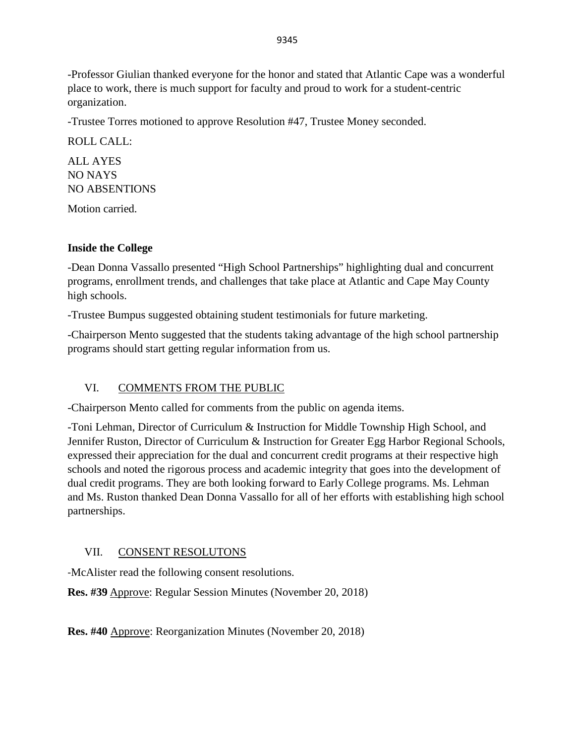-Professor Giulian thanked everyone for the honor and stated that Atlantic Cape was a wonderful place to work, there is much support for faculty and proud to work for a student-centric organization.

-Trustee Torres motioned to approve Resolution #47, Trustee Money seconded.

ROLL CALL:

ALL AYES NO NAYS NO ABSENTIONS

Motion carried.

# **Inside the College**

-Dean Donna Vassallo presented "High School Partnerships" highlighting dual and concurrent programs, enrollment trends, and challenges that take place at Atlantic and Cape May County high schools.

-Trustee Bumpus suggested obtaining student testimonials for future marketing.

-Chairperson Mento suggested that the students taking advantage of the high school partnership programs should start getting regular information from us.

# VI. COMMENTS FROM THE PUBLIC

-Chairperson Mento called for comments from the public on agenda items.

-Toni Lehman, Director of Curriculum & Instruction for Middle Township High School, and Jennifer Ruston, Director of Curriculum & Instruction for Greater Egg Harbor Regional Schools, expressed their appreciation for the dual and concurrent credit programs at their respective high schools and noted the rigorous process and academic integrity that goes into the development of dual credit programs. They are both looking forward to Early College programs. Ms. Lehman and Ms. Ruston thanked Dean Donna Vassallo for all of her efforts with establishing high school partnerships.

# VII. CONSENT RESOLUTONS

-McAlister read the following consent resolutions.

**Res. #39** Approve: Regular Session Minutes (November 20, 2018)

**Res. #40** Approve: Reorganization Minutes (November 20, 2018)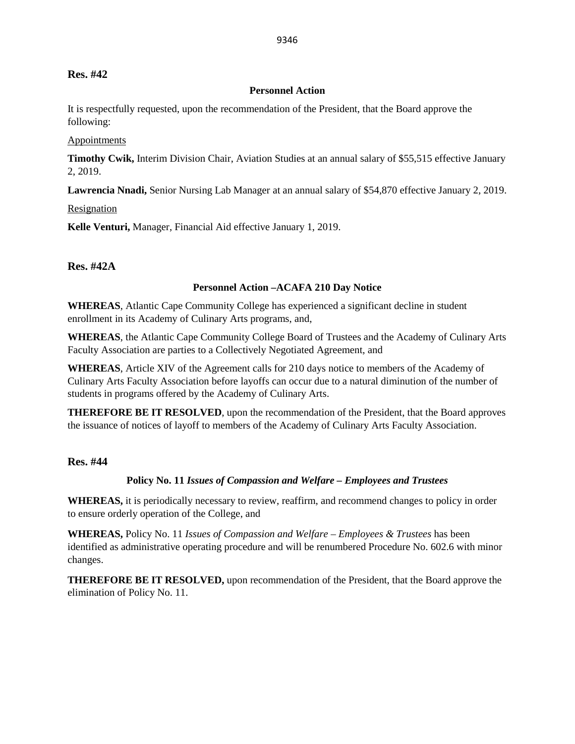#### **Res. #42**

#### **Personnel Action**

It is respectfully requested, upon the recommendation of the President, that the Board approve the following:

#### Appointments

**Timothy Cwik,** Interim Division Chair, Aviation Studies at an annual salary of \$55,515 effective January 2, 2019.

**Lawrencia Nnadi,** Senior Nursing Lab Manager at an annual salary of \$54,870 effective January 2, 2019.

Resignation

**Kelle Venturi,** Manager, Financial Aid effective January 1, 2019.

**Res. #42A**

#### **Personnel Action –ACAFA 210 Day Notice**

**WHEREAS**, Atlantic Cape Community College has experienced a significant decline in student enrollment in its Academy of Culinary Arts programs, and,

**WHEREAS**, the Atlantic Cape Community College Board of Trustees and the Academy of Culinary Arts Faculty Association are parties to a Collectively Negotiated Agreement, and

**WHEREAS**, Article XIV of the Agreement calls for 210 days notice to members of the Academy of Culinary Arts Faculty Association before layoffs can occur due to a natural diminution of the number of students in programs offered by the Academy of Culinary Arts.

**THEREFORE BE IT RESOLVED**, upon the recommendation of the President, that the Board approves the issuance of notices of layoff to members of the Academy of Culinary Arts Faculty Association.

#### **Res. #44**

### **Policy No. 11** *Issues of Compassion and Welfare – Employees and Trustees*

**WHEREAS,** it is periodically necessary to review, reaffirm, and recommend changes to policy in order to ensure orderly operation of the College, and

**WHEREAS,** Policy No. 11 *Issues of Compassion and Welfare – Employees & Trustees* has been identified as administrative operating procedure and will be renumbered Procedure No. 602.6 with minor changes.

**THEREFORE BE IT RESOLVED,** upon recommendation of the President, that the Board approve the elimination of Policy No. 11.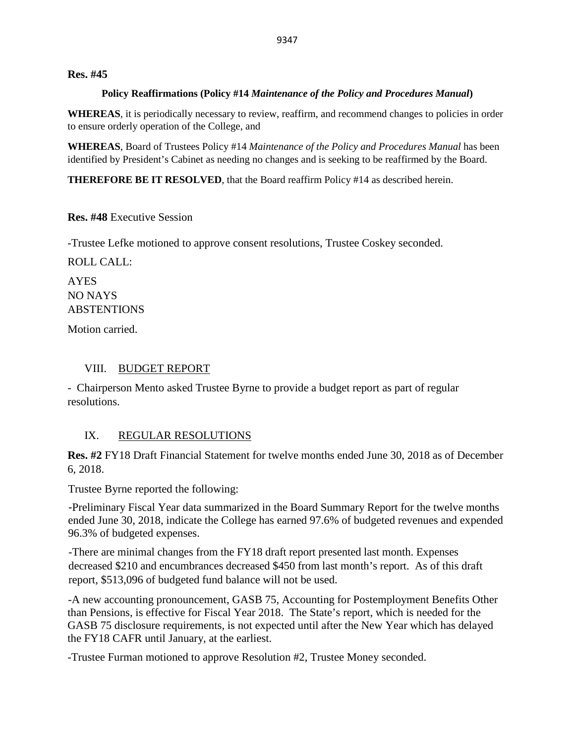#### **Res. #45**

#### **Policy Reaffirmations (Policy #14** *Maintenance of the Policy and Procedures Manual***)**

**WHEREAS**, it is periodically necessary to review, reaffirm, and recommend changes to policies in order to ensure orderly operation of the College, and

**WHEREAS**, Board of Trustees Policy #14 *Maintenance of the Policy and Procedures Manual* has been identified by President's Cabinet as needing no changes and is seeking to be reaffirmed by the Board.

**THEREFORE BE IT RESOLVED**, that the Board reaffirm Policy #14 as described herein.

**Res. #48** Executive Session

-Trustee Lefke motioned to approve consent resolutions, Trustee Coskey seconded.

ROLL CALL:

AYES NO NAYS ABSTENTIONS

Motion carried.

### VIII. BUDGET REPORT

- Chairperson Mento asked Trustee Byrne to provide a budget report as part of regular resolutions.

### IX. REGULAR RESOLUTIONS

**Res. #2** FY18 Draft Financial Statement for twelve months ended June 30, 2018 as of December 6, 2018.

Trustee Byrne reported the following:

-Preliminary Fiscal Year data summarized in the Board Summary Report for the twelve months ended June 30, 2018, indicate the College has earned 97.6% of budgeted revenues and expended 96.3% of budgeted expenses.

-There are minimal changes from the FY18 draft report presented last month. Expenses decreased \$210 and encumbrances decreased \$450 from last month's report. As of this draft report, \$513,096 of budgeted fund balance will not be used.

-A new accounting pronouncement, GASB 75, Accounting for Postemployment Benefits Other than Pensions, is effective for Fiscal Year 2018. The State's report, which is needed for the GASB 75 disclosure requirements, is not expected until after the New Year which has delayed the FY18 CAFR until January, at the earliest.

-Trustee Furman motioned to approve Resolution #2, Trustee Money seconded.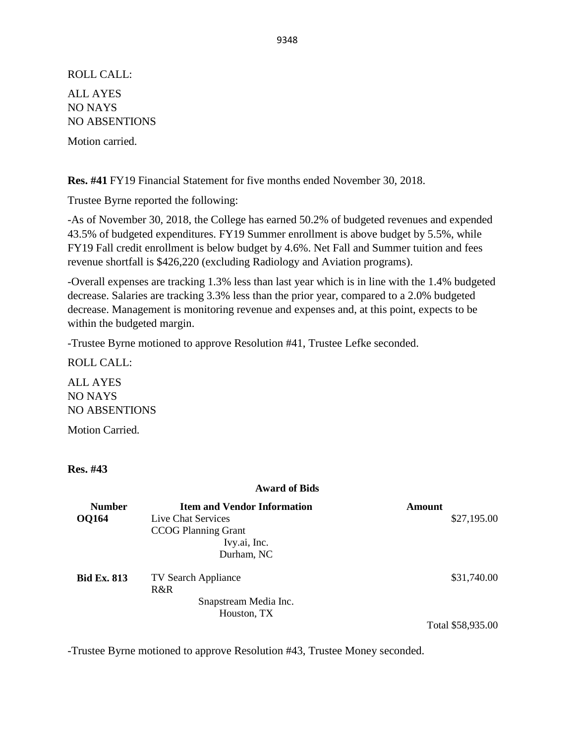ROLL CALL: ALL AYES NO NAYS NO ABSENTIONS

Motion carried.

**Res. #41** FY19 Financial Statement for five months ended November 30, 2018.

Trustee Byrne reported the following:

-As of November 30, 2018, the College has earned 50.2% of budgeted revenues and expended 43.5% of budgeted expenditures. FY19 Summer enrollment is above budget by 5.5%, while FY19 Fall credit enrollment is below budget by 4.6%. Net Fall and Summer tuition and fees revenue shortfall is \$426,220 (excluding Radiology and Aviation programs).

-Overall expenses are tracking 1.3% less than last year which is in line with the 1.4% budgeted decrease. Salaries are tracking 3.3% less than the prior year, compared to a 2.0% budgeted decrease. Management is monitoring revenue and expenses and, at this point, expects to be within the budgeted margin.

-Trustee Byrne motioned to approve Resolution #41, Trustee Lefke seconded.

ROLL CALL:

ALL AYES NO NAYS NO ABSENTIONS

Motion Carried.

**Res. #43**

#### **Award of Bids**

| <b>Number</b>      | <b>Item and Vendor Information</b> | Amount            |
|--------------------|------------------------------------|-------------------|
| <b>OQ164</b>       | Live Chat Services                 | \$27,195.00       |
|                    | <b>CCOG Planning Grant</b>         |                   |
|                    | Ivy.ai, Inc.                       |                   |
|                    | Durham, NC                         |                   |
| <b>Bid Ex. 813</b> | <b>TV Search Appliance</b>         | \$31,740.00       |
|                    | R&R                                |                   |
|                    | Snapstream Media Inc.              |                   |
|                    | Houston, TX                        |                   |
|                    |                                    | Total \$58,935.00 |

-Trustee Byrne motioned to approve Resolution #43, Trustee Money seconded.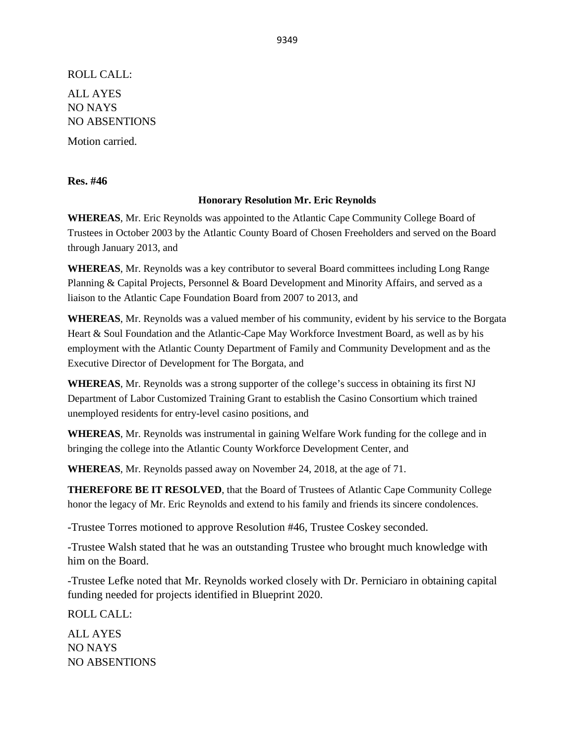ROLL CALL: ALL AYES NO NAYS NO ABSENTIONS

Motion carried.

**Res. #46**

#### **Honorary Resolution Mr. Eric Reynolds**

**WHEREAS**, Mr. Eric Reynolds was appointed to the Atlantic Cape Community College Board of Trustees in October 2003 by the Atlantic County Board of Chosen Freeholders and served on the Board through January 2013, and

**WHEREAS**, Mr. Reynolds was a key contributor to several Board committees including Long Range Planning & Capital Projects, Personnel & Board Development and Minority Affairs, and served as a liaison to the Atlantic Cape Foundation Board from 2007 to 2013, and

**WHEREAS**, Mr. Reynolds was a valued member of his community, evident by his service to the Borgata Heart & Soul Foundation and the Atlantic-Cape May Workforce Investment Board, as well as by his employment with the Atlantic County Department of Family and Community Development and as the Executive Director of Development for The Borgata, and

**WHEREAS**, Mr. Reynolds was a strong supporter of the college's success in obtaining its first NJ Department of Labor Customized Training Grant to establish the Casino Consortium which trained unemployed residents for entry-level casino positions, and

**WHEREAS**, Mr. Reynolds was instrumental in gaining Welfare Work funding for the college and in bringing the college into the Atlantic County Workforce Development Center, and

**WHEREAS**, Mr. Reynolds passed away on November 24, 2018, at the age of 71.

**THEREFORE BE IT RESOLVED**, that the Board of Trustees of Atlantic Cape Community College honor the legacy of Mr. Eric Reynolds and extend to his family and friends its sincere condolences.

-Trustee Torres motioned to approve Resolution #46, Trustee Coskey seconded.

-Trustee Walsh stated that he was an outstanding Trustee who brought much knowledge with him on the Board.

-Trustee Lefke noted that Mr. Reynolds worked closely with Dr. Perniciaro in obtaining capital funding needed for projects identified in Blueprint 2020.

ROLL CALL:

ALL AYES NO NAYS NO ABSENTIONS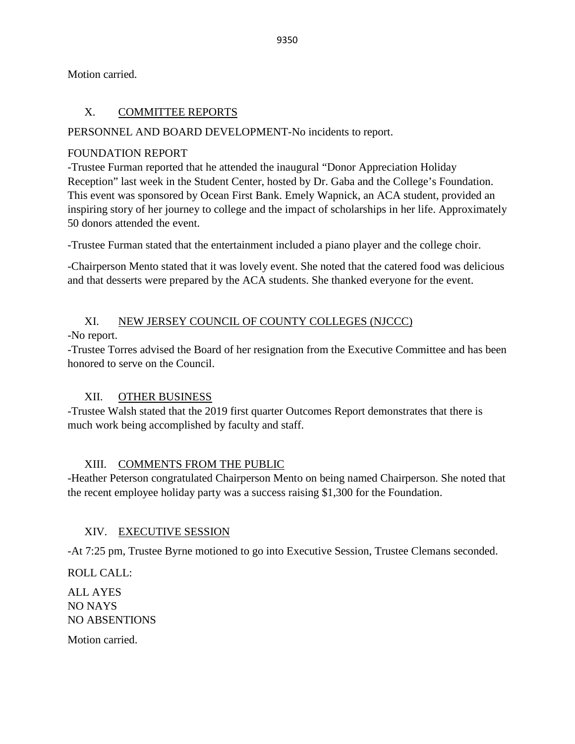Motion carried.

## X. COMMITTEE REPORTS

### PERSONNEL AND BOARD DEVELOPMENT-No incidents to report.

### FOUNDATION REPORT

-Trustee Furman reported that he attended the inaugural "Donor Appreciation Holiday Reception" last week in the Student Center, hosted by Dr. Gaba and the College's Foundation. This event was sponsored by Ocean First Bank. Emely Wapnick, an ACA student, provided an inspiring story of her journey to college and the impact of scholarships in her life. Approximately 50 donors attended the event.

-Trustee Furman stated that the entertainment included a piano player and the college choir.

-Chairperson Mento stated that it was lovely event. She noted that the catered food was delicious and that desserts were prepared by the ACA students. She thanked everyone for the event.

# XI. NEW JERSEY COUNCIL OF COUNTY COLLEGES (NJCCC)

-No report.

-Trustee Torres advised the Board of her resignation from the Executive Committee and has been honored to serve on the Council.

### XII. OTHER BUSINESS

-Trustee Walsh stated that the 2019 first quarter Outcomes Report demonstrates that there is much work being accomplished by faculty and staff.

### XIII. COMMENTS FROM THE PUBLIC

-Heather Peterson congratulated Chairperson Mento on being named Chairperson. She noted that the recent employee holiday party was a success raising \$1,300 for the Foundation.

### XIV. EXECUTIVE SESSION

-At 7:25 pm, Trustee Byrne motioned to go into Executive Session, Trustee Clemans seconded.

ROLL CALL: ALL AYES NO NAYS NO ABSENTIONS

Motion carried.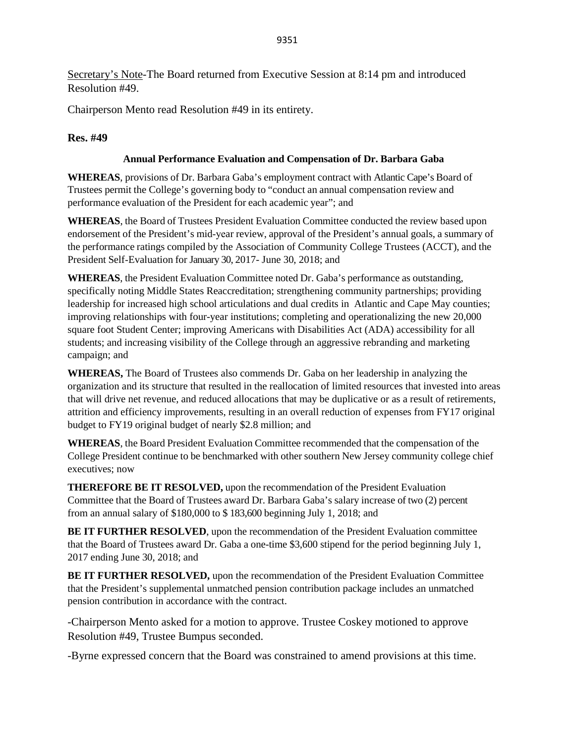Secretary's Note-The Board returned from Executive Session at 8:14 pm and introduced Resolution #49.

Chairperson Mento read Resolution #49 in its entirety.

### **Res. #49**

#### **Annual Performance Evaluation and Compensation of Dr. Barbara Gaba**

**WHEREAS**, provisions of Dr. Barbara Gaba's employment contract with Atlantic Cape's Board of Trustees permit the College's governing body to "conduct an annual compensation review and performance evaluation of the President for each academic year"; and

**WHEREAS**, the Board of Trustees President Evaluation Committee conducted the review based upon endorsement of the President's mid-year review, approval of the President's annual goals, a summary of the performance ratings compiled by the Association of Community College Trustees (ACCT), and the President Self‐Evaluation for January 30, 2017- June 30, 2018; and

**WHEREAS**, the President Evaluation Committee noted Dr. Gaba's performance as outstanding, specifically noting Middle States Reaccreditation; strengthening community partnerships; providing leadership for increased high school articulations and dual credits in Atlantic and Cape May counties; improving relationships with four-year institutions; completing and operationalizing the new 20,000 square foot Student Center; improving Americans with Disabilities Act (ADA) accessibility for all students; and increasing visibility of the College through an aggressive rebranding and marketing campaign; and

**WHEREAS,** The Board of Trustees also commends Dr. Gaba on her leadership in analyzing the organization and its structure that resulted in the reallocation of limited resources that invested into areas that will drive net revenue, and reduced allocations that may be duplicative or as a result of retirements, attrition and efficiency improvements, resulting in an overall reduction of expenses from FY17 original budget to FY19 original budget of nearly \$2.8 million; and

**WHEREAS**, the Board President Evaluation Committee recommended that the compensation of the College President continue to be benchmarked with other southern New Jersey community college chief executives; now

**THEREFORE BE IT RESOLVED,** upon the recommendation of the President Evaluation Committee that the Board of Trustees award Dr. Barbara Gaba's salary increase of two (2) percent from an annual salary of \$180,000 to \$ 183,600 beginning July 1, 2018; and

**BE IT FURTHER RESOLVED**, upon the recommendation of the President Evaluation committee that the Board of Trustees award Dr. Gaba a one-time \$3,600 stipend for the period beginning July 1, 2017 ending June 30, 2018; and

**BE IT FURTHER RESOLVED,** upon the recommendation of the President Evaluation Committee that the President's supplemental unmatched pension contribution package includes an unmatched pension contribution in accordance with the contract.

-Chairperson Mento asked for a motion to approve. Trustee Coskey motioned to approve Resolution #49, Trustee Bumpus seconded.

-Byrne expressed concern that the Board was constrained to amend provisions at this time.